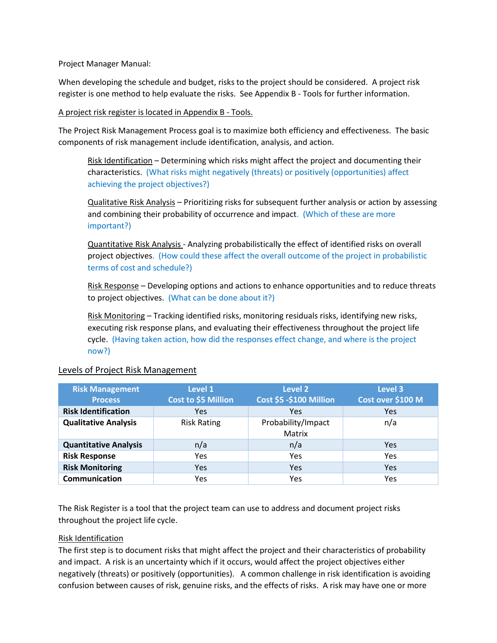Project Manager Manual:

When developing the schedule and budget, risks to the project should be considered. A project risk register is one method to help evaluate the risks. See Appendix B - Tools for further information.

A project risk register is located in Appendix B - Tools.

The Project Risk Management Process goal is to maximize both efficiency and effectiveness. The basic components of risk management include identification, analysis, and action.

Risk Identification – Determining which risks might affect the project and documenting their characteristics. (What risks might negatively (threats) or positively (opportunities) affect achieving the project objectives?)

Qualitative Risk Analysis – Prioritizing risks for subsequent further analysis or action by assessing and combining their probability of occurrence and impact. (Which of these are more important?)

Quantitative Risk Analysis - Analyzing probabilistically the effect of identified risks on overall project objectives. (How could these affect the overall outcome of the project in probabilistic terms of cost and schedule?)

Risk Response – Developing options and actions to enhance opportunities and to reduce threats to project objectives. (What can be done about it?)

Risk Monitoring – Tracking identified risks, monitoring residuals risks, identifying new risks, executing risk response plans, and evaluating their effectiveness throughout the project life cycle. (Having taken action, how did the responses effect change, and where is the project now?)

| <b>Risk Management</b>       | Level 1             | Level 2                        | <b>Level 3</b>    |  |
|------------------------------|---------------------|--------------------------------|-------------------|--|
| <b>Process</b>               | Cost to \$5 Million | <b>Cost \$5 -\$100 Million</b> | Cost over \$100 M |  |
| <b>Risk Identification</b>   | Yes                 | Yes                            | Yes               |  |
| <b>Qualitative Analysis</b>  | <b>Risk Rating</b>  | Probability/Impact<br>Matrix   | n/a               |  |
| <b>Quantitative Analysis</b> | n/a                 | n/a                            | <b>Yes</b>        |  |
| <b>Risk Response</b>         | Yes                 | Yes                            | Yes               |  |
| <b>Risk Monitoring</b>       | Yes                 | Yes                            | <b>Yes</b>        |  |
| <b>Communication</b>         | Yes                 | Yes                            | Yes               |  |

# Levels of Project Risk Management

The Risk Register is a tool that the project team can use to address and document project risks throughout the project life cycle.

# Risk Identification

The first step is to document risks that might affect the project and their characteristics of probability and impact. A risk is an uncertainty which if it occurs, would affect the project objectives either negatively (threats) or positively (opportunities). A common challenge in risk identification is avoiding confusion between causes of risk, genuine risks, and the effects of risks. A risk may have one or more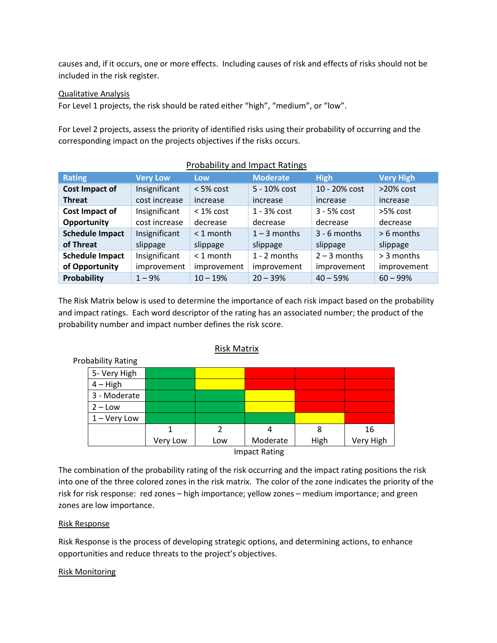causes and, if it occurs, one or more effects. Including causes of risk and effects of risks should not be included in the risk register.

## Qualitative Analysis

For Level 1 projects, the risk should be rated either "high", "medium", or "low".

For Level 2 projects, assess the priority of identified risks using their probability of occurring and the corresponding impact on the projects objectives if the risks occurs.

| <b>Probability and Impact Ratings</b> |                 |              |                 |                |                  |  |  |  |  |
|---------------------------------------|-----------------|--------------|-----------------|----------------|------------------|--|--|--|--|
| <b>Rating</b>                         | <b>Very Low</b> | Low          | <b>Moderate</b> | <b>High</b>    | <b>Very High</b> |  |  |  |  |
| Cost Impact of                        | Insignificant   | $<$ 5% cost  | 5 - 10% cost    | 10 - 20% cost  | >20% cost        |  |  |  |  |
| <b>Threat</b>                         | cost increase   | increase     | increase        | increase       | increase         |  |  |  |  |
| Cost Impact of                        | Insignificant   | $< 1\%$ cost | $1 - 3%$ cost   | $3 - 5% cost$  | $>5\%$ cost      |  |  |  |  |
| Opportunity                           | cost increase   | decrease     | decrease        | decrease       | decrease         |  |  |  |  |
| <b>Schedule Impact</b>                | Insignificant   | $<$ 1 month  | $1 - 3$ months  | $3 - 6$ months | $> 6$ months     |  |  |  |  |
| of Threat                             | slippage        | slippage     | slippage        | slippage       | slippage         |  |  |  |  |
| <b>Schedule Impact</b>                | Insignificant   | $<$ 1 month  | $1 - 2$ months  | $2 - 3$ months | > 3 months       |  |  |  |  |
| of Opportunity                        | improvement     | improvement  | improvement     | improvement    | improvement      |  |  |  |  |
| Probability                           | $1 - 9%$        | $10 - 19%$   | $20 - 39%$      | $40 - 59%$     | $60 - 99%$       |  |  |  |  |

The Risk Matrix below is used to determine the importance of each risk impact based on the probability and impact ratings. Each word descriptor of the rating has an associated number; the product of the probability number and impact number defines the risk score.

| <b>Probability Rating</b> |                              |          |     |          |      |           |  |  |
|---------------------------|------------------------------|----------|-----|----------|------|-----------|--|--|
|                           | 5- Very High                 |          |     |          |      |           |  |  |
|                           | $4 - High$                   |          |     |          |      |           |  |  |
|                           | 3 - Moderate                 |          |     |          |      |           |  |  |
|                           | $2 - Low$                    |          |     |          |      |           |  |  |
|                           | $1 -$ Very Low               |          |     |          |      |           |  |  |
|                           |                              |          |     |          | 8    | 16        |  |  |
|                           |                              | Very Low | Low | Moderate | High | Very High |  |  |
|                           | المستلفات المسترين والمستناد |          |     |          |      |           |  |  |

### Risk Matrix

Impact Rating

The combination of the probability rating of the risk occurring and the impact rating positions the risk into one of the three colored zones in the risk matrix. The color of the zone indicates the priority of the risk for risk response: red zones – high importance; yellow zones – medium importance; and green zones are low importance.

### Risk Response

Risk Response is the process of developing strategic options, and determining actions, to enhance opportunities and reduce threats to the project's objectives.

### Risk Monitoring